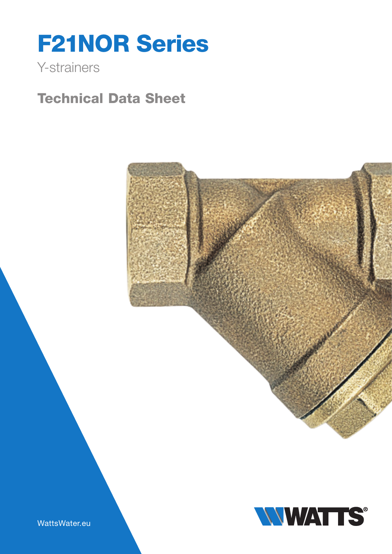# F21NOR Series

## Y-strainers

# Technical Data Sheet





WattsWater.eu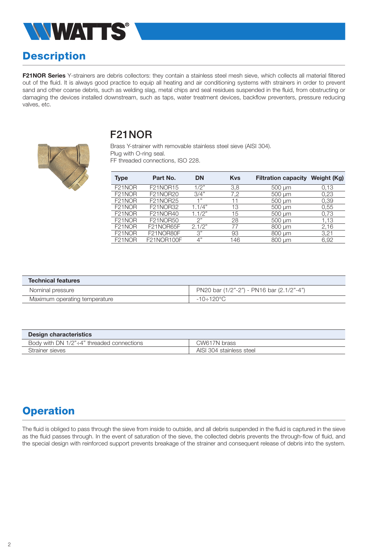

## **Description**

F21NOR Series Y-strainers are debris collectors: they contain a stainless steel mesh sieve, which collects all material filtered out of the fluid. It is always good practice to equip all heating and air conditioning systems with strainers in order to prevent sand and other coarse debris, such as welding slag, metal chips and seal residues suspended in the fluid, from obstructing or damaging the devices installed downstream, such as taps, water treatment devices, backflow preventers, pressure reducing valves, etc.

#### F21NOR

Brass Y-strainer with removable stainless steel sieve (AISI 304). Plug with O-ring seal. FF threaded connections, ISO 228.

| <b>Type</b>         | Part No.        | <b>DN</b>       | <b>Kys</b> | <b>Filtration capacity</b> | Weight (Kg) |
|---------------------|-----------------|-----------------|------------|----------------------------|-------------|
| F <sub>21</sub> NOR | <b>F21NOR15</b> | 1/2"            | 3,8        | $500 \mu m$                | 0.13        |
| F <sub>21</sub> NOR | F21NOR20        | 3/4"            | 7.2        | 500 um                     | 0,23        |
| F <sub>21</sub> NOR | F21NOR25        | 4 "             | 11         | $500 \mu m$                | 0,39        |
| F <sub>21</sub> NOR | F21NOR32        | 1.1/4"          | 13         | 500 um                     | 0,55        |
| F <sub>21</sub> NOR | F21NOR40        | 1.1/2"          | 15         | $500 \mu m$                | 0.73        |
| F <sub>21</sub> NOR | F21NOR50        | つ"              | 28         | 500 um                     | 1.13        |
| F <sub>21</sub> NOR | F21NOR65F       | 2.1/2"          | 77         | 800 um                     | 2,16        |
| F <sub>21</sub> NOR | F21NOR80F       | $\mathcal{S}$ " | 93         | 800 um                     | 3,21        |
| F <sub>21</sub> NOR | F21NOR100F      | 4"              | 146        | 800 um                     | 6.92        |

| <b>Technical features</b>     |                                           |  |  |  |  |
|-------------------------------|-------------------------------------------|--|--|--|--|
| Nominal pressure              | PN20 bar (1/2"-2") - PN16 bar (2.1/2"-4") |  |  |  |  |
| Maximum operating temperature | -10÷120°C                                 |  |  |  |  |

| <b>Design characteristics</b>                       |                          |  |  |  |  |
|-----------------------------------------------------|--------------------------|--|--|--|--|
| Body with DN $1/2$ " $\div$ 4" threaded connections | CW617N brass             |  |  |  |  |
| Strainer sieves                                     | AISI 304 stainless steel |  |  |  |  |

#### **Operation**

The fluid is obliged to pass through the sieve from inside to outside, and all debris suspended in the fluid is captured in the sieve as the fluid passes through. In the event of saturation of the sieve, the collected debris prevents the through-flow of fluid, and the special design with reinforced support prevents breakage of the strainer and consequent release of debris into the system.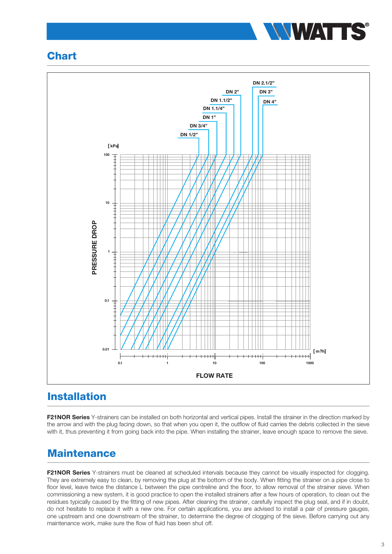

#### **Chart**



#### Installation

F21NOR Series Y-strainers can be installed on both horizontal and vertical pipes. Install the strainer in the direction marked by the arrow and with the plug facing down, so that when you open it, the outflow of fluid carries the debris collected in the sieve with it, thus preventing it from going back into the pipe. When installing the strainer, leave enough space to remove the sieve.

#### **Maintenance**

F21NOR Series Y-strainers must be cleaned at scheduled intervals because they cannot be visually inspected for clogging. They are extremely easy to clean, by removing the plug at the bottom of the body. When fitting the strainer on a pipe close to floor level, leave twice the distance L between the pipe centreline and the floor, to allow removal of the strainer sieve. When commissioning a new system, it is good practice to open the installed strainers after a few hours of operation, to clean out the residues typically caused by the fitting of new pipes. After cleaning the strainer, carefully inspect the plug seal, and if in doubt, do not hesitate to replace it with a new one. For certain applications, you are advised to install a pair of pressure gauges, one upstream and one downstream of the strainer, to determine the degree of clogging of the sieve. Before carrying out any maintenance work, make sure the flow of fluid has been shut off.